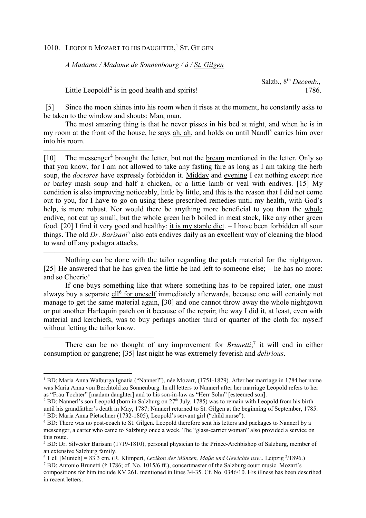1010. LEOPOLD MOZART TO HIS DAUGHTER,<sup>1</sup> ST. GILGEN

*A Madame / Madame de Sonnenbourg / à / St. Gilgen*

Salzb., 8th *Decemb*.,

Little Leopold<sup>2</sup> is in good health and spirits! 1786.

––––––––––––––––––––––––––––––

––––––––––––––––––––––––––––––

––––––––––––––––––––––––––––––

l

 [5] Since the moon shines into his room when it rises at the moment, he constantly asks to be taken to the window and shouts: Man, man.

The most amazing thing is that he never pisses in his bed at night, and when he is in my room at the front of the house, he says ah, ah, and holds on until Nandl<sup>3</sup> carries him over into his room.

[10] The messenger<sup>4</sup> brought the letter, but not the <u>bream</u> mentioned in the letter. Only so that you know, for I am not allowed to take any fasting fare as long as I am taking the herb soup, the *doctores* have expressly forbidden it. Midday and evening I eat nothing except rice or barley mash soup and half a chicken, or a little lamb or veal with endives. [15] My condition is also improving noticeably, little by little, and this is the reason that I did not come out to you, for I have to go on using these prescribed remedies until my health, with God's help, is more robust. Nor would there be anything more beneficial to you than the whole endive, not cut up small, but the whole green herb boiled in meat stock, like any other green food. [20] I find it very good and healthy; it is my staple diet. – I have been forbidden all sour things. The old *Dr. Barisani*<sup>5</sup> also eats endives daily as an excellent way of cleaning the blood to ward off any podagra attacks.

Nothing can be done with the tailor regarding the patch material for the nightgown. [25] He answered that he has given the little he had left to someone else; – he has no more; and so Cheerio!

If one buys something like that where something has to be repaired later, one must always buy a separate ell<sup>6</sup> for oneself immediately afterwards, because one will certainly not manage to get the same material again, [30] and one cannot throw away the whole nightgown or put another Harlequin patch on it because of the repair; the way I did it, at least, even with material and kerchiefs, was to buy perhaps another third or quarter of the cloth for myself without letting the tailor know.

There can be no thought of any improvement for *Brunetti*;<sup>7</sup> it will end in either consumption or gangrene; [35] last night he was extremely feverish and *delirious*.

<sup>7</sup> BD: Antonio Brunetti († 1786; cf. No. 1015/6 ff.), concertmaster of the Salzburg court music. Mozart's compositions for him include KV 261, mentioned in lines 34-35. Cf. No. 0346/10. His illness has been described in recent letters.

<sup>1</sup> BD: Maria Anna Walburga Ignatia ("Nannerl"), née Mozart, (1751-1829). After her marriage in 1784 her name was Maria Anna von Berchtold zu Sonnenburg. In all letters to Nannerl after her marriage Leopold refers to her as "Frau Tochter" [madam daughter] and to his son-in-law as "Herr Sohn" [esteemed son].

<sup>&</sup>lt;sup>2</sup> BD: Nannerl's son Leopold (born in Salzburg on  $27<sup>th</sup>$  July, 1785) was to remain with Leopold from his birth until his grandfather's death in May, 1787; Nannerl returned to St. Gilgen at the beginning of September, 1785. <sup>3</sup> BD: Maria Anna Pietschner (1732-1805), Leopold's servant girl ("child nurse").

<sup>&</sup>lt;sup>4</sup> BD: There was no post-coach to St. Gilgen. Leopold therefore sent his letters and packages to Nannerl by a messenger, a carter who came to Salzburg once a week. The "glass-carrier woman" also provided a service on this route.

<sup>&</sup>lt;sup>5</sup> BD: Dr. Silvester Barisani (1719-1810), personal physician to the Prince-Archbishop of Salzburg, member of an extensive Salzburg family.

 $6$  1 ell [Munich] = 83.3 cm. (R. Klimpert, *Lexikon der Münzen, Maße und Gewichte usw.*, Leipzig  $2/1896$ .)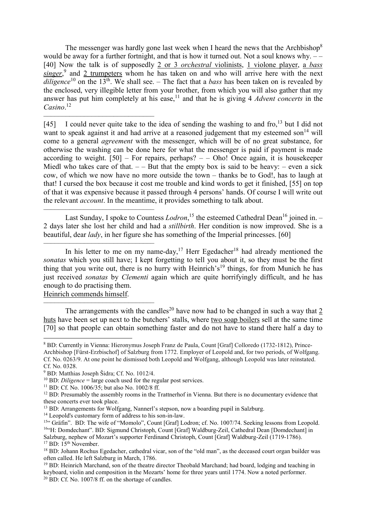The messenger was hardly gone last week when I heard the news that the Archbishop<sup>8</sup> would be away for a further fortnight, and that is how it turned out. Not a soul knows why.  $--$ [40] Now the talk is of supposedly 2 or 3 *orchestral* violinists, 1 violone player, a *bass* singer,<sup>9</sup> and 2 trumpeters whom he has taken on and who will arrive here with the next *diligence*<sup>10</sup> on the 13<sup>th</sup>. We shall see. – The fact that a *bass* has been taken on is revealed by the enclosed, very illegible letter from your brother, from which you will also gather that my answer has put him completely at his ease,<sup>11</sup> and that he is giving 4 *Advent concerts* in the *Casino*. 12

–––––––––––––––––––––––––––––– [45] I could never quite take to the idea of sending the washing to and fro,  $13$  but I did not want to speak against it and had arrive at a reasoned judgement that my esteemed son<sup>14</sup> will come to a general *agreement* with the messenger, which will be of no great substance, for otherwise the washing can be done here for what the messenger is paid if payment is made according to weight.  $[50]$  – For repairs, perhaps? – – Oho! Once again, it is housekeeper Miedl who takes care of that.  $-$  – But that the empty box is said to be heavy: – even a sick cow, of which we now have no more outside the town – thanks be to God!, has to laugh at that! I cursed the box because it cost me trouble and kind words to get it finished, [55] on top of that it was expensive because it passed through 4 persons' hands. Of course I will write out the relevant *account*. In the meantime, it provides something to talk about.

–––––––––––––––––––––––––––––– Last Sunday, I spoke to Countess *Lodron*,<sup>15</sup> the esteemed Cathedral Dean<sup>16</sup> joined in. -2 days later she lost her child and had a *stillbirth*. Her condition is now improved. She is a beautiful, dear *lady*, in her figure she has something of the Imperial princesses. [60]

–––––––––––––––––––––––––––––– In his letter to me on my name-day,<sup>17</sup> Herr Egedacher<sup>18</sup> had already mentioned the *sonatas* which you still have; I kept forgetting to tell you about it, so they must be the first thing that you write out, there is no hurry with Heinrich's<sup>19</sup> things, for from Munich he has just received *sonatas* by *Clementi* again which are quite horrifyingly difficult, and he has enough to do practising them.

Heinrich commends himself.

 $\overline{a}$ 

–––––––––––––––––––––––––––––– The arrangements with the candles<sup>20</sup> have now had to be changed in such a way that  $\frac{2}{3}$ huts have been set up next to the butchers' stalls, where two soap boilers sell at the same time [70] so that people can obtain something faster and do not have to stand there half a day to

<sup>&</sup>lt;sup>8</sup> BD: Currently in Vienna: Hieronymus Joseph Franz de Paula, Count [Graf] Colloredo (1732-1812), Prince-Archbishop [Fürst-Erzbischof] of Salzburg from 1772. Employer of Leopold and, for two periods, of Wolfgang. Cf. No. 0263/9. At one point he dismissed both Leopold and Wolfgang, although Leopold was later reinstated. Cf. No. 0328.

<sup>9</sup> BD: Matthias Joseph Šidra; Cf. No. 1012/4.

<sup>&</sup>lt;sup>10</sup> BD: *Diligence* = large coach used for the regular post services.

<sup>11</sup> BD: Cf. No. 1006/35; but also No. 1002/8 ff.

<sup>&</sup>lt;sup>12</sup> BD: Presumably the assembly rooms in the Trattnerhof in Vienna. But there is no documentary evidence that these concerts ever took place.

<sup>13</sup> BD: Arrangements for Wolfgang, Nannerl's stepson, now a boarding pupil in Salzburg.

<sup>&</sup>lt;sup>14</sup> Leopold's customary form of address to his son-in-law.

<sup>15&</sup>quot; Gräfin". BD: The wife of "Momolo", Count [Graf] Lodron; cf. No. 1007/74. Seeking lessons from Leopold. <sup>16</sup>"H: Domdechant". BD: Sigmund Christoph, Count [Graf] Waldburg-Zeil, Cathedral Dean [Domdechant] in Salzburg, nephew of Mozart's supporter Ferdinand Christoph, Count [Graf] Waldburg-Zeil (1719-1786). <sup>17</sup> BD: 15<sup>th</sup> November.

<sup>&</sup>lt;sup>18</sup> BD: Johann Rochus Egedacher, cathedral vicar, son of the "old man", as the deceased court organ builder was often called. He left Salzburg in March, 1786.

<sup>&</sup>lt;sup>19</sup> BD: Heinrich Marchand, son of the theatre director Theobald Marchand; had board, lodging and teaching in keyboard, violin and composition in the Mozarts' home for three years until 1774. Now a noted performer. 20 BD: Cf. No. 1007/8 ff. on the shortage of candles.